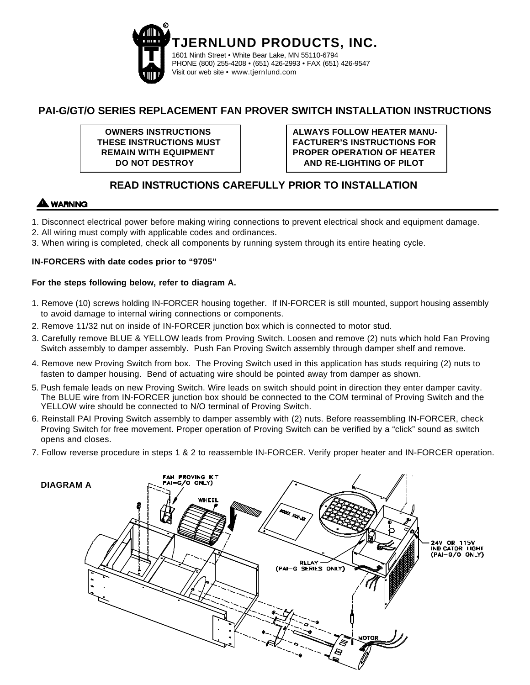

## **PAI-G/GT/O SERIES REPLACEMENT FAN PROVER SWITCH INSTALLATION INSTRUCTIONS**

**OWNERS INSTRUCTIONS THESE INSTRUCTIONS MUST REMAIN WITH EQUIPMENT DO NOT DESTROY**

**ALWAYS FOLLOW HEATER MANU-FACTURER'S INSTRUCTIONS FOR PROPER OPERATION OF HEATER AND RE-LIGHTING OF PILOT**

# **READ INSTRUCTIONS CAREFULLY PRIOR TO INSTALLATION**

## **WARNING**

- 1. Disconnect electrical power before making wiring connections to prevent electrical shock and equipment damage.
- 2. All wiring must comply with applicable codes and ordinances.
- 3. When wiring is completed, check all components by running system through its entire heating cycle.

#### **IN-FORCERS with date codes prior to "9705"**

#### **For the steps following below, refer to diagram A.**

- 1. Remove (10) screws holding IN-FORCER housing together. If IN-FORCER is still mounted, support housing assembly to avoid damage to internal wiring connections or components.
- 2. Remove 11/32 nut on inside of IN-FORCER junction box which is connected to motor stud.
- 3. Carefully remove BLUE & YELLOW leads from Proving Switch. Loosen and remove (2) nuts which hold Fan Proving Switch assembly to damper assembly. Push Fan Proving Switch assembly through damper shelf and remove.
- 4. Remove new Proving Switch from box. The Proving Switch used in this application has studs requiring (2) nuts to fasten to damper housing. Bend of actuating wire should be pointed away from damper as shown.
- 5. Push female leads on new Proving Switch. Wire leads on switch should point in direction they enter damper cavity. The BLUE wire from IN-FORCER junction box should be connected to the COM terminal of Proving Switch and the YELLOW wire should be connected to N/O terminal of Proving Switch.
- 6. Reinstall PAI Proving Switch assembly to damper assembly with (2) nuts. Before reassembling IN-FORCER, check Proving Switch for free movement. Proper operation of Proving Switch can be verified by a "click" sound as switch opens and closes.
- 7. Follow reverse procedure in steps 1 & 2 to reassemble IN-FORCER. Verify proper heater and IN-FORCER operation.